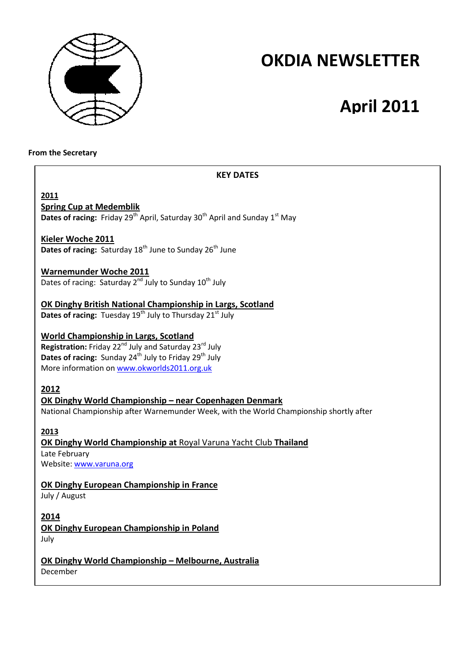

# **OKDIA NEWSLETTER**

# **April 2011**

#### **From the Secretary**

# **KEY DATES**

**2011 Spring Cup at Medemblik**

**Dates of racing:** Friday 29<sup>th</sup> April, Saturday 30<sup>th</sup> April and Sunday 1<sup>st</sup> May

# **Kieler Woche 2011**

**Dates of racing: Saturday 18<sup>th</sup> June to Sunday 26<sup>th</sup> June** 

## **Warnemunder Woche 2011**

Dates of racing: Saturday  $2^{nd}$  July to Sunday  $10^{th}$  July

# **OK Dinghy British National Championship in Largs, Scotland**

**Dates of racing:** Tuesday 19<sup>th</sup> July to Thursday 21<sup>st</sup> July

# **World Championship in Largs, Scotland**

**Registration:** Friday 22<sup>nd</sup> July and Saturday 23<sup>rd</sup> July **Dates of racing:** Sunday 24<sup>th</sup> July to Friday 29<sup>th</sup> July More information on www.okworlds2011.org.uk

## **2012**

# **OK Dinghy World Championship – near Copenhagen Denmark**

National Championship after Warnemunder Week, with the World Championship shortly after

## **2013**

# **OK Dinghy World Championship at** Royal Varuna Yacht Club **Thailand**  Late February

Website: www.varuna.org

# **OK Dinghy European Championship in France**

July / August

## **2014**

**OK Dinghy European Championship in Poland** July

**OK Dinghy World Championship – Melbourne, Australia** December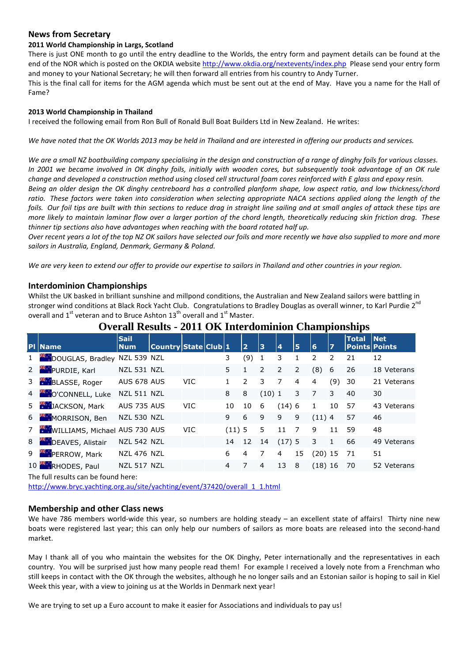#### **News from Secretary**

# **2011 World Championship in Largs, Scotland**

There is just ONE month to go until the entry deadline to the Worlds, the entry form and payment details can be found at the end of the NOR which is posted on the OKDIA website http://www.okdia.org/nextevents/index.php Please send your entry form and money to your National Secretary; he will then forward all entries from his country to Andy Turner.

This is the final call for items for the AGM agenda which must be sent out at the end of May. Have you a name for the Hall of Fame?

#### **2013 World Championship in Thailand**

I received the following email from Ron Bull of Ronald Bull Boat Builders Ltd in New Zealand. He writes:

*We have noted that the OK Worlds 2013 may be held in Thailand and are interested in offering our products and services.* 

*We are a small NZ boatbuilding company specialising in the design and construction of a range of dinghy foils for various classes. In 2001 we became involved in OK dinghy foils, initially with wooden cores, but subsequently took advantage of an OK rule change and developed a construction method using closed cell structural foam cores reinforced with E glass and epoxy resin.* 

*Being an older design the OK dinghy centreboard has a controlled planform shape, low aspect ratio, and low thickness/chord ratio. These factors were taken into consideration when selecting appropriate NACA sections applied along the length of the foils. Our foil tips are built with thin sections to reduce drag in straight line sailing and at small angles of attack these tips are more likely to maintain laminar flow over a larger portion of the chord length, theoretically reducing skin friction drag. These thinner tip sections also have advantages when reaching with the board rotated half up.* 

*Over recent years a lot of the top NZ OK sailors have selected our foils and more recently we have also supplied to more and more sailors in Australia, England, Denmark, Germany & Poland.* 

*We are very keen to extend our offer to provide our expertise to sailors in Thailand and other countries in your region.* 

#### **Interdominion Championships**

Whilst the UK basked in brilliant sunshine and millpond conditions, the Australian and New Zealand sailors were battling in stronger wind conditions at Black Rock Yacht Club. Congratulations to Bradley Douglas as overall winner, to Karl Purdie 2<sup>nd</sup> overall and  $1<sup>st</sup>$  veteran and to Bruce Ashton  $13<sup>th</sup>$  overall and  $1<sup>st</sup>$  Master.

| <b>PI Name</b>                  | <b>Sail</b><br><b>Num</b> | Country State Club 1 |            |       | $\overline{2}$ | 13    | $\overline{\mathbf{4}}$ | 5              | 6              | 7   | <b>Total</b> | <b>Net</b><br><b>Points Points</b> |
|---------------------------------|---------------------------|----------------------|------------|-------|----------------|-------|-------------------------|----------------|----------------|-----|--------------|------------------------------------|
| 1 DOUGLAS, Bradley NZL 539 NZL  |                           |                      |            | 3     | (9)            | 1     | 3                       | 1              | $\overline{2}$ | 2   | 21           | 12                                 |
| 2 <b>PURDIE</b> , Karl          | <b>NZL 531 NZL</b>        |                      |            | 5     | $\mathbf{1}$   | 2     | 2                       | 2              | (8)            | 6   | 26           | 18 Veterans                        |
| 3 BLASSE, Roger                 | AUS 678 AUS               |                      | <b>VIC</b> |       | $\mathcal{P}$  | 3     | 7                       | $\overline{4}$ | 4              | (9) | 30           | 21 Veterans                        |
| 4 O'CONNELL, Luke               | <b>NZL 511 NZL</b>        |                      |            | 8     | 8              | (10)1 |                         | 3              | $\overline{7}$ | 3   | 40           | 30                                 |
| 5 <b>JACKSON</b> , Mark         | <b>AUS 735 AUS</b>        |                      | <b>VIC</b> | 10    | 10             | 6     | (14)6                   |                |                | 10  | 57           | 43 Veterans                        |
| 6 MORRISON, Ben                 | <b>NZL 530 NZL</b>        |                      |            | 9     | 6              | 9     | 9                       | 9              | (11)4          |     | 57           | 46                                 |
| 7 WILLIAMS, Michael AUS 730 AUS |                           |                      | <b>VIC</b> | (11)5 |                | 5     | 11                      | 7              | 9              | 11  | 59           | 48                                 |
| 8 DEAVES, Alistair              | <b>NZL 542 NZL</b>        |                      |            | 14    | 12             | 14    | (17)5                   |                | 3              | 1   | 66           | 49 Veterans                        |
| 9 PERROW, Mark                  | <b>NZL 476 NZL</b>        |                      |            | 6     | 4              | 7     | 4                       | 15             | $(20)$ 15      |     | -71          | 51                                 |
| 10 RHODES, Paul                 | <b>NZL 517 NZL</b>        |                      |            | 4     | 7              | 4     | 13                      | 8              | (18)16         |     | 70           | 52 Veterans                        |

# **Overall Results - 2011 OK Interdominion Championships**

The full results can be found here:

http://www.bryc.yachting.org.au/site/yachting/event/37420/overall\_1\_1.html

#### **Membership and other Class news**

We have 786 members world-wide this year, so numbers are holding steady – an excellent state of affairs! Thirty nine new boats were registered last year; this can only help our numbers of sailors as more boats are released into the second-hand market.

May I thank all of you who maintain the websites for the OK Dinghy, Peter internationally and the representatives in each country. You will be surprised just how many people read them! For example I received a lovely note from a Frenchman who still keeps in contact with the OK through the websites, although he no longer sails and an Estonian sailor is hoping to sail in Kiel Week this year, with a view to joining us at the Worlds in Denmark next year!

We are trying to set up a Euro account to make it easier for Associations and individuals to pay us!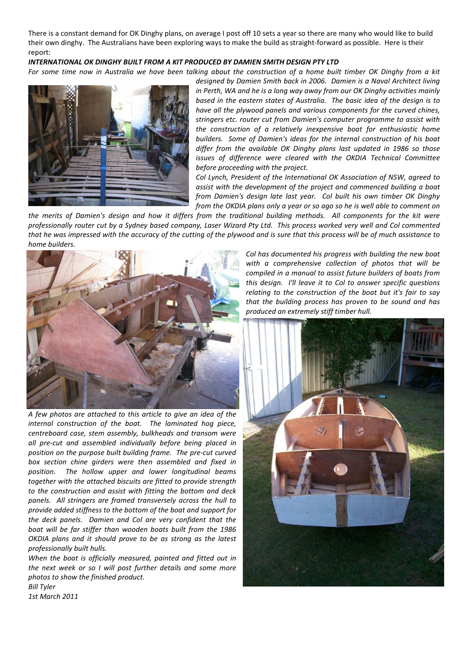There is a constant demand for OK Dinghy plans, on average I post off 10 sets a year so there are many who would like to build their own dinghy. The Australians have been exploring ways to make the build as straight-forward as possible. Here is their report:

#### *INTERNATIONAL OK DINGHY BUILT FROM A KIT PRODUCED BY DAMIEN SMITH DESIGN PTY LTD*

*For some time now in Australia we have been talking about the construction of a home built timber OK Dinghy from a kit* 



*designed by Damien Smith back in 2006. Damien is a Naval Architect living in Perth, WA and he is a long way away from our OK Dinghy activities mainly based in the eastern states of Australia. The basic idea of the design is to have all the plywood panels and various components for the curved chines, stringers etc. router cut from Damien's computer programme to assist with the construction of a relatively inexpensive boat for enthusiastic home builders. Some of Damien's ideas for the internal construction of his boat differ from the available OK Dinghy plans last updated in 1986 so those issues of difference were cleared with the OKDIA Technical Committee before proceeding with the project.* 

*Col Lynch, President of the International OK Association of NSW, agreed to assist with the development of the project and commenced building a boat from Damien's design late last year. Col built his own timber OK Dinghy from the OKDIA plans only a year or so ago so he is well able to comment on* 

*the merits of Damien's design and how it differs from the traditional building methods. All components for the kit were professionally router cut by a Sydney based company, Laser Wizard Pty Ltd. This process worked very well and Col commented that he was impressed with the accuracy of the cutting of the plywood and is sure that this process will be of much assistance to home builders.* 



*A few photos are attached to this article to give an idea of the internal construction of the boat. The laminated hog piece, centreboard case, stem assembly, bulkheads and transom were all pre-cut and assembled individually before being placed in position on the purpose built building frame. The pre-cut curved box section chine girders were then assembled and fixed in position. The hollow upper and lower longitudinal beams together with the attached biscuits are fitted to provide strength to the construction and assist with fitting the bottom and deck panels. All stringers are framed transversely across the hull to provide added stiffness to the bottom of the boat and support for the deck panels. Damien and Col are very confident that the boat will be far stiffer than wooden boats built from the 1986 OKDIA plans and it should prove to be as strong as the latest professionally built hulls.* 

*When the boat is officially measured, painted and fitted out in the next week or so I will post further details and some more photos to show the finished product. Bill Tyler* 

*Col has documented his progress with building the new boat with a comprehensive collection of photos that will be compiled in a manual to assist future builders of boats from this design. I'll leave it to Col to answer specific questions relating to the construction of the boat but it's fair to say that the building process has proven to be sound and has produced an extremely stiff timber hull.* 



*1st March 2011*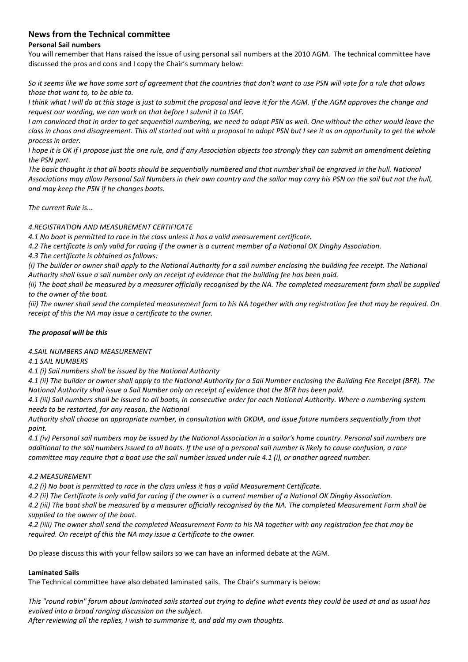# **News from the Technical committee**

#### **Personal Sail numbers**

You will remember that Hans raised the issue of using personal sail numbers at the 2010 AGM. The technical committee have discussed the pros and cons and I copy the Chair's summary below:

*So it seems like we have some sort of agreement that the countries that don't want to use PSN will vote for a rule that allows those that want to, to be able to.* 

*I think what I will do at this stage is just to submit the proposal and leave it for the AGM. If the AGM approves the change and request our wording, we can work on that before I submit it to ISAF.* 

*I am convinced that in order to get sequential numbering, we need to adopt PSN as well. One without the other would leave the class in chaos and disagreement. This all started out with a proposal to adopt PSN but I see it as an opportunity to get the whole process in order.* 

*I hope it is OK if I propose just the one rule, and if any Association objects too strongly they can submit an amendment deleting the PSN part.* 

*The basic thought is that all boats should be sequentially numbered and that number shall be engraved in the hull. National Associations may allow Personal Sail Numbers in their own country and the sailor may carry his PSN on the sail but not the hull, and may keep the PSN if he changes boats.* 

*The current Rule is...* 

#### *4.REGISTRATION AND MEASUREMENT CERTIFICATE*

*4.1 No boat is permitted to race in the class unless it has a valid measurement certificate.* 

*4.2 The certificate is only valid for racing if the owner is a current member of a National OK Dinghy Association.* 

*4.3 The certificate is obtained as follows:* 

*(i) The builder or owner shall apply to the National Authority for a sail number enclosing the building fee receipt. The National Authority shall issue a sail number only on receipt of evidence that the building fee has been paid.* 

*(ii) The boat shall be measured by a measurer officially recognised by the NA. The completed measurement form shall be supplied to the owner of the boat.* 

*(iii) The owner shall send the completed measurement form to his NA together with any registration fee that may be required. On receipt of this the NA may issue a certificate to the owner.* 

#### *The proposal will be this*

#### *4.SAIL NUMBERS AND MEASUREMENT*

#### *4.1 SAIL NUMBERS*

*4.1 (i) Sail numbers shall be issued by the National Authority* 

*4.1 (ii) The builder or owner shall apply to the National Authority for a Sail Number enclosing the Building Fee Receipt (BFR). The National Authority shall issue a Sail Number only on receipt of evidence that the BFR has been paid.* 

*4.1 (iii) Sail numbers shall be issued to all boats, in consecutive order for each National Authority. Where a numbering system needs to be restarted, for any reason, the National*

*Authority shall choose an appropriate number, in consultation with OKDIA, and issue future numbers sequentially from that point.* 

*4.1 (iv) Personal sail numbers may be issued by the National Association in a sailor's home country. Personal sail numbers are additional to the sail numbers issued to all boats. If the use of a personal sail number is likely to cause confusion, a race committee may require that a boat use the sail number issued under rule 4.1 (i), or another agreed number.* 

#### *4.2 MEASUREMENT*

*4.2 (i) No boat is permitted to race in the class unless it has a valid Measurement Certificate.* 

*4.2 (ii) The Certificate is only valid for racing if the owner is a current member of a National OK Dinghy Association.* 

*4.2 (iii) The boat shall be measured by a measurer officially recognised by the NA. The completed Measurement Form shall be supplied to the owner of the boat.* 

*4.2 (iiii) The owner shall send the completed Measurement Form to his NA together with any registration fee that may be required. On receipt of this the NA may issue a Certificate to the owner.* 

Do please discuss this with your fellow sailors so we can have an informed debate at the AGM.

#### **Laminated Sails**

The Technical committee have also debated laminated sails. The Chair's summary is below:

*This "round robin" forum about laminated sails started out trying to define what events they could be used at and as usual has evolved into a broad ranging discussion on the subject.* 

*After reviewing all the replies, I wish to summarise it, and add my own thoughts.*